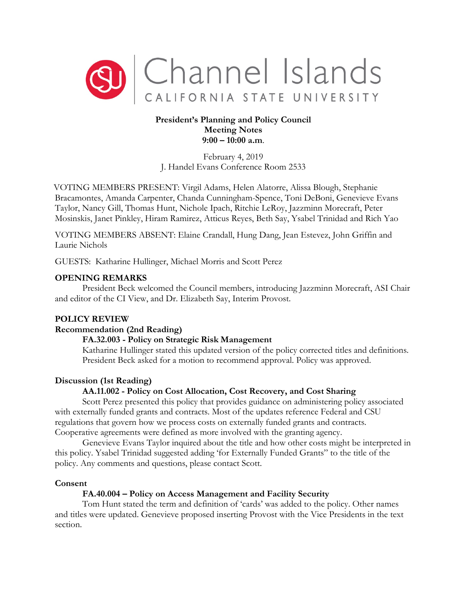

# **President's Planning and Policy Council Meeting Notes 9:00 – 10:00 a.m**.

February 4, 2019 J. Handel Evans Conference Room 2533

VOTING MEMBERS PRESENT: Virgil Adams, Helen Alatorre, Alissa Blough, Stephanie Bracamontes, Amanda Carpenter, Chanda Cunningham-Spence, Toni DeBoni, Genevieve Evans Taylor, Nancy Gill, Thomas Hunt, Nichole Ipach, Ritchie LeRoy, Jazzminn Morecraft, Peter Mosinskis, Janet Pinkley, Hiram Ramirez, Atticus Reyes, Beth Say, Ysabel Trinidad and Rich Yao

VOTING MEMBERS ABSENT: Elaine Crandall, Hung Dang, Jean Estevez, John Griffin and Laurie Nichols

GUESTS: Katharine Hullinger, Michael Morris and Scott Perez

# **OPENING REMARKS**

President Beck welcomed the Council members, introducing Jazzminn Morecraft, ASI Chair and editor of the CI View, and Dr. Elizabeth Say, Interim Provost.

### **POLICY REVIEW**

### **Recommendation (2nd Reading)**

# **FA.32.003 - Policy on Strategic Risk Management**

Katharine Hullinger stated this updated version of the policy corrected titles and definitions. President Beck asked for a motion to recommend approval. Policy was approved.

# **Discussion (1st Reading)**

# **AA.11.002 - Policy on Cost Allocation, Cost Recovery, and Cost Sharing**

Scott Perez presented this policy that provides guidance on administering policy associated with externally funded grants and contracts. Most of the updates reference Federal and CSU regulations that govern how we process costs on externally funded grants and contracts. Cooperative agreements were defined as more involved with the granting agency.

Genevieve Evans Taylor inquired about the title and how other costs might be interpreted in this policy. Ysabel Trinidad suggested adding 'for Externally Funded Grants" to the title of the policy. Any comments and questions, please contact Scott.

### **Consent**

# **FA.40.004 – Policy on Access Management and Facility Security**

Tom Hunt stated the term and definition of 'cards' was added to the policy. Other names and titles were updated. Genevieve proposed inserting Provost with the Vice Presidents in the text section.